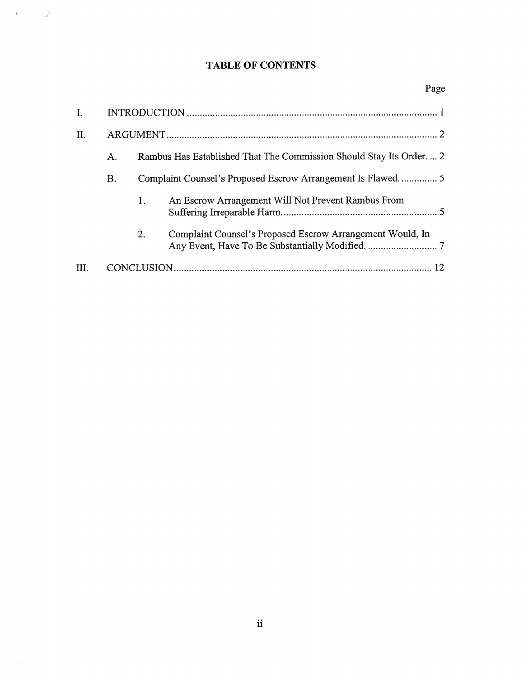## TABLE OF CONTENTS

 $\label{eq:2.1} \mathcal{F} = \mathcal{F} \left( \mathcal{F} \right) \otimes \mathcal{F} \left( \mathcal{F} \right)$ 

 $\mathcal{L}^{\text{max}}_{\text{max}}$  ,  $\mathcal{L}^{\text{max}}_{\text{max}}$ 

| I.   |    |                                                                    |                                                           |  |
|------|----|--------------------------------------------------------------------|-----------------------------------------------------------|--|
| II.  |    |                                                                    |                                                           |  |
|      | Α. | Rambus Has Established That The Commission Should Stay Its Order 2 |                                                           |  |
|      | В. |                                                                    |                                                           |  |
|      |    | 1.                                                                 | An Escrow Arrangement Will Not Prevent Rambus From        |  |
|      |    | 2.                                                                 | Complaint Counsel's Proposed Escrow Arrangement Would, In |  |
| III. |    |                                                                    |                                                           |  |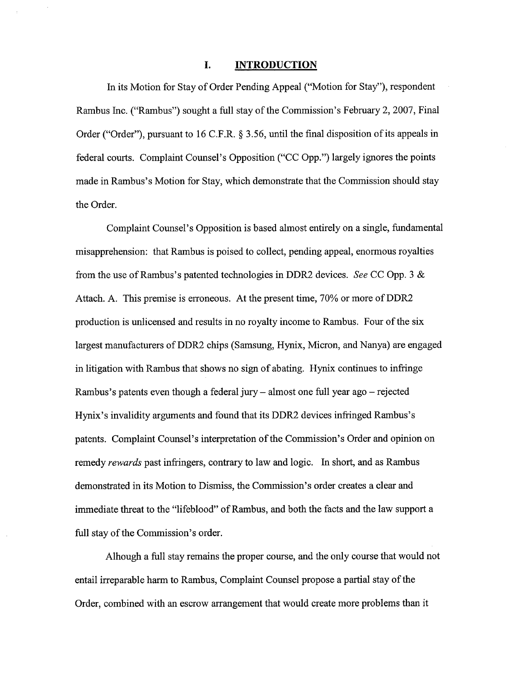## I. **INTRODUCTION**

In its Motion for Stay of Order Pending Appeal ("Motion for Stay"), respondent Rambus Inc. ("Rambus") sought a full stay of the Commission's February 2, 2007, Final Order ("Order"), pursuant to 16 C.F.R.  $\S$  3.56, until the final disposition of its appeals in federal courts. Complaint Counsel's Opposition ("CC Opp.") largely ignores the points made in Rambus's Motion for Stay, which demonstrate that the Commission should stay the Order.

Complaint Counsel' s Opposition is based almost entirely on a single, fundamental misapprehension: that Rambus is poised to collect, pending appeal, enormous royalties from the use of Rambus's patented technologies in DDR2 devices. See CC Opp. 3  $\&$ Attach. A. This premise is erroneous. At the present time, 70% or more of DDR2 production is unlicensed and results in no royalty income to Rambus. Four of the six largest manufacturers of DDR2 chips (Samsung, Hynix, Micron, and Nanya) are engaged in litigation with Rambus that shows no sign of abating. Hynix continues to infringe Rambus's patents even though a federal jury  $-$  almost one full year ago  $-$  rejected Hynix's invalidity arguments and found that its DDR2 devices infringed Rambus's patents. Complaint Counsel's interpretation of the Commission's Order and opinion on remedy rewards past infringers, contrary to law and logic. In short, and as Rambus demonstrated in its Motion to Dismiss, the Commission's order creates a clear and immediate threat to the "lifeblood" of Rarbus, and both the facts and the law support a full stay of the Commission's order.

Alhough a full stay remains the proper course, and the only course that would not entail irreparable harm to Rambus, Complaint Counsel propose a partial stay of the Order, combined with an escrow arangement that would create more problems than it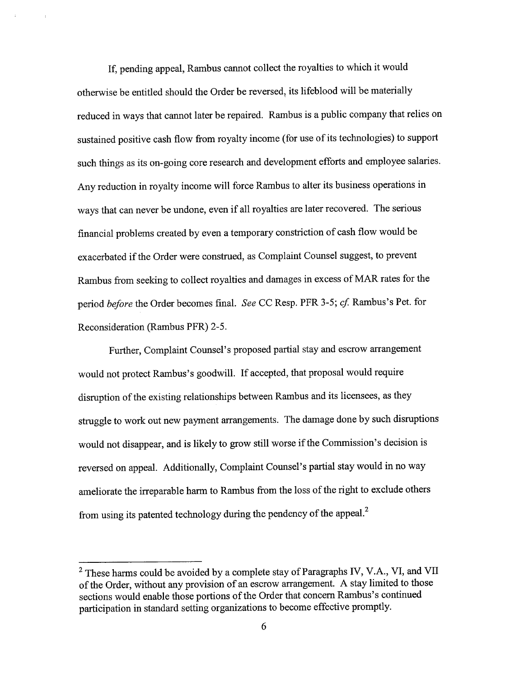If, pending appeal, Rambus cannot collect the royalties to which it would otherwise be entitled should the Order be reversed, its lifeblood will be materially reduced in ways that cannot later be repaired. Rambus is a public company that relies on sustained positive cash flow from royalty income (for use of its technologies) to support such things as its on-going core research and development efforts and employee salaries. Any reduction in royalty income will force Rambus to alter its business operations in ways that can never be undone, even if all royalties are later recovered. The serious financial problems created by even a temporary constriction of cash flow would be exacerbated if the Order were construed, as Complaint Counsel suggest, to prevent Rambus from seeking to collect royalties and damages in excess of MAR rates for the period *before* the Order becomes final. See CC Resp. PFR 3-5; cf. Rambus's Pet. for Reconsideration (Rambus PFR) 2-

Further, Complaint Counsel's proposed partial stay and escrow arrangement would not protect Rambus's goodwill. If accepted, that proposal would require disruption of the existing relationships between Rambus and its licensees, as they struggle to work out new payment arrangements. The damage done by such disruptions would not disappear, and is likely to grow still worse if the Commission's decision is reversed on appeal. Additionally, Complaint Counsel's partial stay would in no way ameliorate the irreparable harm to Rambus from the loss of the right to exclude others from using its patented technology during the pendency of the appeal.

 $2$  These harms could be avoided by a complete stay of Paragraphs IV, V.A., VI, and VII of the Order, without any provision of an escrow arrangement. A stay limited to those sections would enable those portions of the Order that concern Rambus's continued paricipation in standard setting organizations to become effective promptly.